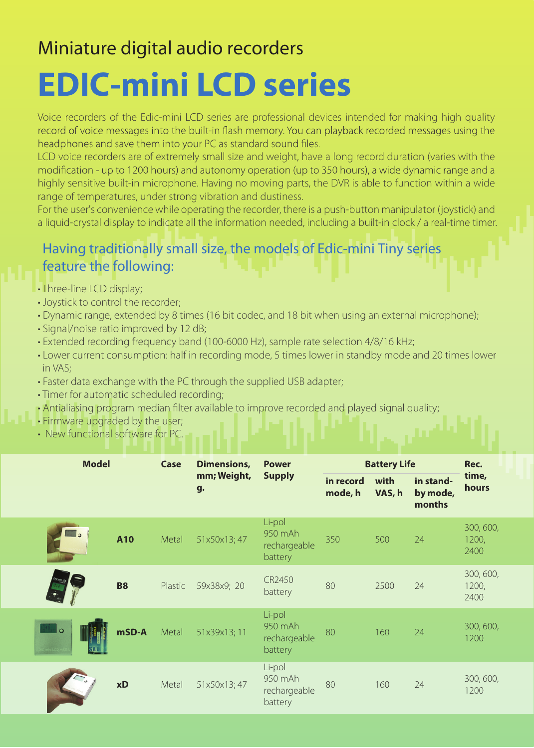# Miniature digital audio recorders

# **EDIC-mini LCD series**

Voice recorders of the Edic-mini LCD series are professional devices intended for making high quality record of voice messages into the built-in flash memory. You can playback recorded messages using the headphones and save them into your PC as standard sound files.

LCD voice recorders are of extremely small size and weight, have a long record duration (varies with the modification - up to 1200 hours) and autonomy operation (up to 350 hours), a wide dynamic range and a highly sensitive built-in microphone. Having no moving parts, the DVR is able to function within a wide range of temperatures, under strong vibration and dustiness.

For the user's convenience while operating the recorder, there is a push-button manipulator (joystick) and a liquid-crystal display to indicate all the information needed, including a built-in clock / a real-time timer.

## Having traditionally small size, the models of Edic-mini Tiny series feature the following:

- Three-line LCD display;
- Joystick to control the recorder;
- Dynamic range, extended by 8 times (16 bit codec, and 18 bit when using an external microphone);
- Signal/noise ratio improved by 12 dB;
- Extended recording frequency band (100-6000 Hz), sample rate selection 4/8/16 kHz;
- Lower current consumption: half in recording mode, 5 times lower in standby mode and 20 times lower in VAS;
- Faster data exchange with the PC through the supplied USB adapter;
- Timer for automatic scheduled recording;
- Antialiasing program median filter available to improve recorded and played signal quality;
- Firmware upgraded by the user;
- New functional software for PC.

| <b>Model</b> |           | Case    | Dimensions,<br>mm; Weight,<br>g. | <b>Power</b><br><b>Supply</b>                | <b>Battery Life</b>  |                |                                 | Rec.                       |
|--------------|-----------|---------|----------------------------------|----------------------------------------------|----------------------|----------------|---------------------------------|----------------------------|
|              |           |         |                                  |                                              | in record<br>mode, h | with<br>VAS, h | in stand-<br>by mode,<br>months | time,<br>hours             |
|              | A10       | Metal   | 51x50x13;47                      | Li-pol<br>950 mAh<br>rechargeable<br>battery | 350                  | 500            | 24                              | 300, 600,<br>1200,<br>2400 |
|              | <b>B8</b> | Plastic | 59x38x9; 20                      | CR2450<br>battery                            | 80                   | 2500           | 24                              | 300, 600,<br>1200,<br>2400 |
| l o          | mSD-A     | Metal   | 51x39x13;11                      | Li-pol<br>950 mAh<br>rechargeable<br>battery | 80                   | 160            | 24                              | 300, 600,<br>1200          |
|              | xD        | Metal   | 51x50x13;47                      | Li-pol<br>950 mAh<br>rechargeable<br>battery | 80                   | 160            | 24                              | 300, 600,<br>1200          |